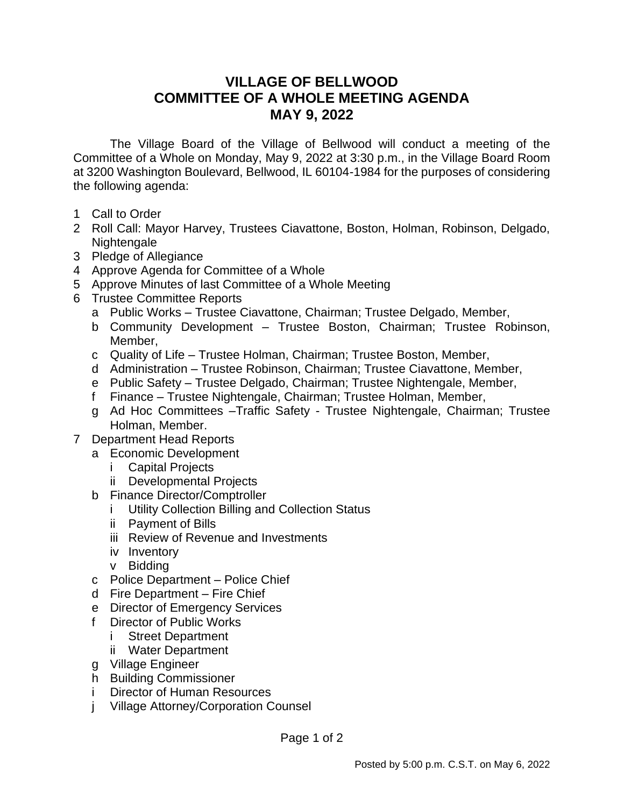## **VILLAGE OF BELLWOOD COMMITTEE OF A WHOLE MEETING AGENDA MAY 9, 2022**

The Village Board of the Village of Bellwood will conduct a meeting of the Committee of a Whole on Monday, May 9, 2022 at 3:30 p.m., in the Village Board Room at 3200 Washington Boulevard, Bellwood, IL 60104-1984 for the purposes of considering the following agenda:

- 1 Call to Order
- 2 Roll Call: Mayor Harvey, Trustees Ciavattone, Boston, Holman, Robinson, Delgado, Nightengale
- 3 Pledge of Allegiance
- 4 Approve Agenda for Committee of a Whole
- 5 Approve Minutes of last Committee of a Whole Meeting
- 6 Trustee Committee Reports
	- a Public Works Trustee Ciavattone, Chairman; Trustee Delgado, Member,
	- b Community Development Trustee Boston, Chairman; Trustee Robinson, Member,
	- c Quality of Life Trustee Holman, Chairman; Trustee Boston, Member,
	- d Administration Trustee Robinson, Chairman; Trustee Ciavattone, Member,
	- e Public Safety Trustee Delgado, Chairman; Trustee Nightengale, Member,
	- f Finance Trustee Nightengale, Chairman; Trustee Holman, Member,
	- g Ad Hoc Committees –Traffic Safety Trustee Nightengale, Chairman; Trustee Holman, Member.
- 7 Department Head Reports
	- a Economic Development
		- i Capital Projects
		- ii Developmental Projects
	- b Finance Director/Comptroller
		- i Utility Collection Billing and Collection Status
		- ii Payment of Bills
		- iii Review of Revenue and Investments
		- iv Inventory
		- v Bidding
	- c Police Department Police Chief
	- d Fire Department Fire Chief
	- e Director of Emergency Services
	- f Director of Public Works
		- **Street Department**
		- ii Water Department
	- g Village Engineer
	- h Building Commissioner
	- i Director of Human Resources
	- j Village Attorney/Corporation Counsel